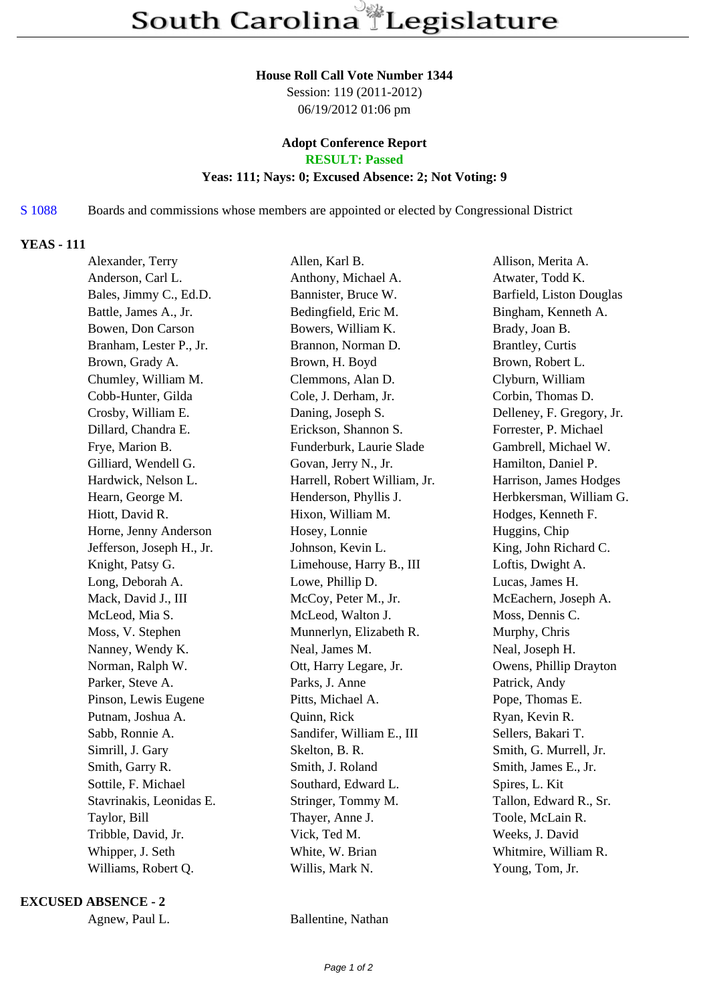#### **House Roll Call Vote Number 1344**

Session: 119 (2011-2012) 06/19/2012 01:06 pm

### **Adopt Conference Report RESULT: Passed**

# **Yeas: 111; Nays: 0; Excused Absence: 2; Not Voting: 9**

# S 1088 Boards and commissions whose members are appointed or elected by Congressional District

### **YEAS - 111**

| Alexander, Terry          | Allen, Karl B.               | Allison, Merita A.        |
|---------------------------|------------------------------|---------------------------|
| Anderson, Carl L.         | Anthony, Michael A.          | Atwater, Todd K.          |
| Bales, Jimmy C., Ed.D.    | Bannister, Bruce W.          | Barfield, Liston Douglas  |
| Battle, James A., Jr.     | Bedingfield, Eric M.         | Bingham, Kenneth A.       |
| Bowen, Don Carson         | Bowers, William K.           | Brady, Joan B.            |
| Branham, Lester P., Jr.   | Brannon, Norman D.           | <b>Brantley</b> , Curtis  |
| Brown, Grady A.           | Brown, H. Boyd               | Brown, Robert L.          |
| Chumley, William M.       | Clemmons, Alan D.            | Clyburn, William          |
| Cobb-Hunter, Gilda        | Cole, J. Derham, Jr.         | Corbin, Thomas D.         |
| Crosby, William E.        | Daning, Joseph S.            | Delleney, F. Gregory, Jr. |
| Dillard, Chandra E.       | Erickson, Shannon S.         | Forrester, P. Michael     |
| Frye, Marion B.           | Funderburk, Laurie Slade     | Gambrell, Michael W.      |
| Gilliard, Wendell G.      | Govan, Jerry N., Jr.         | Hamilton, Daniel P.       |
| Hardwick, Nelson L.       | Harrell, Robert William, Jr. | Harrison, James Hodges    |
| Hearn, George M.          | Henderson, Phyllis J.        | Herbkersman, William G.   |
| Hiott, David R.           | Hixon, William M.            | Hodges, Kenneth F.        |
| Horne, Jenny Anderson     | Hosey, Lonnie                | Huggins, Chip             |
| Jefferson, Joseph H., Jr. | Johnson, Kevin L.            | King, John Richard C.     |
| Knight, Patsy G.          | Limehouse, Harry B., III     | Loftis, Dwight A.         |
| Long, Deborah A.          | Lowe, Phillip D.             | Lucas, James H.           |
| Mack, David J., III       | McCoy, Peter M., Jr.         | McEachern, Joseph A.      |
| McLeod, Mia S.            | McLeod, Walton J.            | Moss, Dennis C.           |
| Moss, V. Stephen          | Munnerlyn, Elizabeth R.      | Murphy, Chris             |
| Nanney, Wendy K.          | Neal, James M.               | Neal, Joseph H.           |
| Norman, Ralph W.          | Ott, Harry Legare, Jr.       | Owens, Phillip Drayton    |
| Parker, Steve A.          | Parks, J. Anne               | Patrick, Andy             |
| Pinson, Lewis Eugene      | Pitts, Michael A.            | Pope, Thomas E.           |
| Putnam, Joshua A.         | Quinn, Rick                  | Ryan, Kevin R.            |
| Sabb, Ronnie A.           | Sandifer, William E., III    | Sellers, Bakari T.        |
| Simrill, J. Gary          | Skelton, B. R.               | Smith, G. Murrell, Jr.    |
| Smith, Garry R.           | Smith, J. Roland             | Smith, James E., Jr.      |
| Sottile, F. Michael       | Southard, Edward L.          | Spires, L. Kit            |
| Stavrinakis, Leonidas E.  | Stringer, Tommy M.           | Tallon, Edward R., Sr.    |
| Taylor, Bill              | Thayer, Anne J.              | Toole, McLain R.          |
| Tribble, David, Jr.       | Vick, Ted M.                 | Weeks, J. David           |
| Whipper, J. Seth          | White, W. Brian              | Whitmire, William R.      |
| Williams, Robert Q.       | Willis, Mark N.              | Young, Tom, Jr.           |

### **EXCUSED ABSENCE - 2**

Agnew, Paul L. Ballentine, Nathan